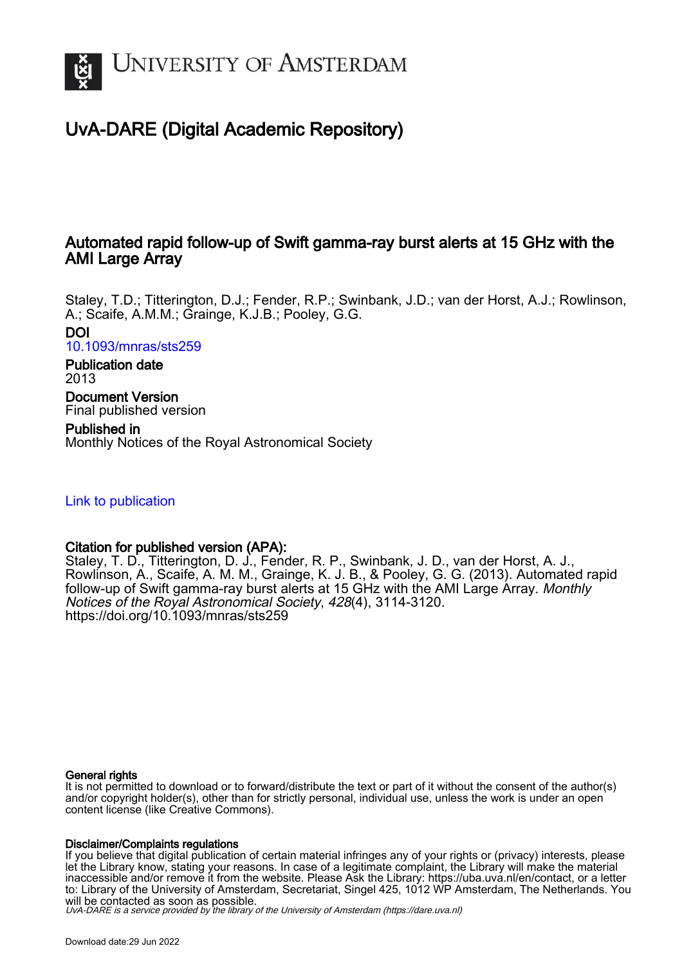

# UvA-DARE (Digital Academic Repository)

# Automated rapid follow-up of Swift gamma-ray burst alerts at 15 GHz with the AMI Large Array

Staley, T.D.; Titterington, D.J.; Fender, R.P.; Swinbank, J.D.; van der Horst, A.J.; Rowlinson, A.; Scaife, A.M.M.; Grainge, K.J.B.; Pooley, G.G. DOI [10.1093/mnras/sts259](https://doi.org/10.1093/mnras/sts259)

Publication date 2013

Document Version Final published version

Published in Monthly Notices of the Royal Astronomical Society

# [Link to publication](https://dare.uva.nl/personal/pure/en/publications/automated-rapid-followup-of-swift-gammaray-burst-alerts-at-15-ghz-with-the-ami-large-array(cf67f89a-31cf-4b99-9a43-f0f2440d96b1).html)

# Citation for published version (APA):

Staley, T. D., Titterington, D. J., Fender, R. P., Swinbank, J. D., van der Horst, A. J., Rowlinson, A., Scaife, A. M. M., Grainge, K. J. B., & Pooley, G. G. (2013). Automated rapid follow-up of Swift gamma-ray burst alerts at 15 GHz with the AMI Large Array. Monthly Notices of the Royal Astronomical Society, 428(4), 3114-3120. <https://doi.org/10.1093/mnras/sts259>

# General rights

It is not permitted to download or to forward/distribute the text or part of it without the consent of the author(s) and/or copyright holder(s), other than for strictly personal, individual use, unless the work is under an open content license (like Creative Commons).

# Disclaimer/Complaints regulations

If you believe that digital publication of certain material infringes any of your rights or (privacy) interests, please let the Library know, stating your reasons. In case of a legitimate complaint, the Library will make the material inaccessible and/or remove it from the website. Please Ask the Library: https://uba.uva.nl/en/contact, or a letter to: Library of the University of Amsterdam, Secretariat, Singel 425, 1012 WP Amsterdam, The Netherlands. You will be contacted as soon as possible.

UvA-DARE is a service provided by the library of the University of Amsterdam (http*s*://dare.uva.nl)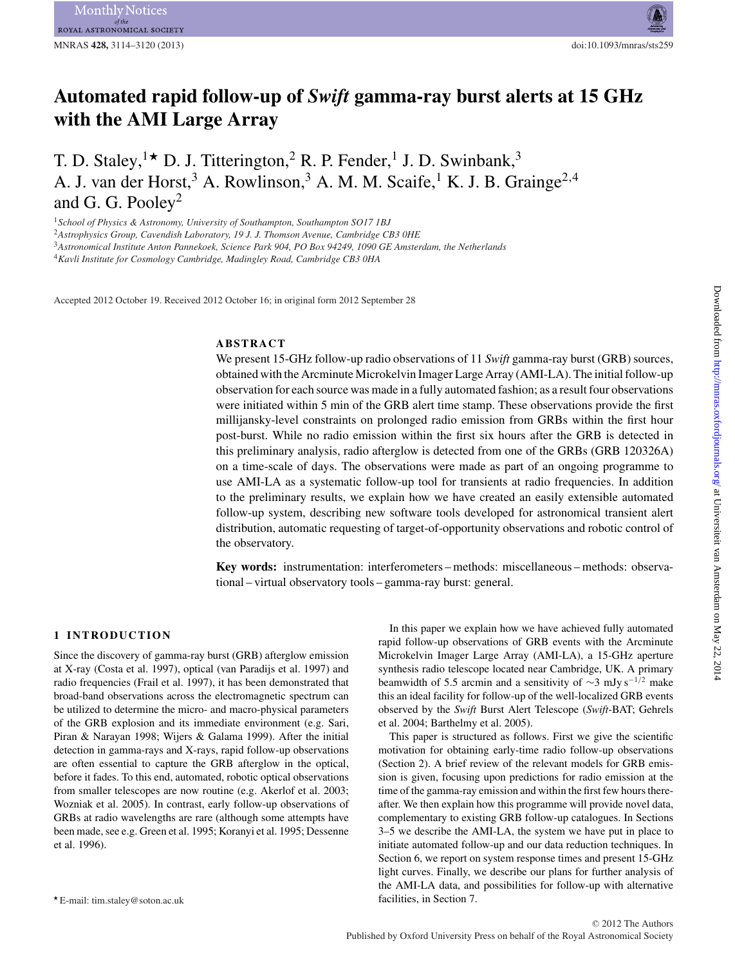# **Automated rapid follow-up of** *Swift* **gamma-ray burst alerts at 15 GHz with the AMI Large Array**

T. D. Staley,  $\rightarrow$  D. J. Titterington, <sup>2</sup> R. P. Fender, <sup>1</sup> J. D. Swinbank, <sup>3</sup> A. J. van der Horst,<sup>3</sup> A. Rowlinson,<sup>3</sup> A. M. M. Scaife,<sup>1</sup> K. J. B. Grainge<sup>2,4</sup> and G. G. Pooley<sup>2</sup>

<sup>1</sup>*School of Physics & Astronomy, University of Southampton, Southampton SO17 1BJ*

<sup>2</sup>*Astrophysics Group, Cavendish Laboratory, 19 J. J. Thomson Avenue, Cambridge CB3 0HE*

<sup>3</sup>*Astronomical Institute Anton Pannekoek, Science Park 904, PO Box 94249, 1090 GE Amsterdam, the Netherlands*

<sup>4</sup>*Kavli Institute for Cosmology Cambridge, Madingley Road, Cambridge CB3 0HA*

Accepted 2012 October 19. Received 2012 October 16; in original form 2012 September 28

#### **ABSTRACT**

We present 15-GHz follow-up radio observations of 11 *Swift* gamma-ray burst (GRB) sources, obtained with the Arcminute Microkelvin Imager Large Array (AMI-LA). The initial follow-up observation for each source was made in a fully automated fashion; as a result four observations were initiated within 5 min of the GRB alert time stamp. These observations provide the first millijansky-level constraints on prolonged radio emission from GRBs within the first hour post-burst. While no radio emission within the first six hours after the GRB is detected in this preliminary analysis, radio afterglow is detected from one of the GRBs (GRB 120326A) on a time-scale of days. The observations were made as part of an ongoing programme to use AMI-LA as a systematic follow-up tool for transients at radio frequencies. In addition to the preliminary results, we explain how we have created an easily extensible automated follow-up system, describing new software tools developed for astronomical transient alert distribution, automatic requesting of target-of-opportunity observations and robotic control of the observatory.

**Key words:** instrumentation: interferometers – methods: miscellaneous – methods: observational – virtual observatory tools – gamma-ray burst: general.

#### **1 INTRODUCTION**

Since the discovery of gamma-ray burst (GRB) afterglow emission at X-ray (Costa et al. 1997), optical (van Paradijs et al. 1997) and radio frequencies (Frail et al. 1997), it has been demonstrated that broad-band observations across the electromagnetic spectrum can be utilized to determine the micro- and macro-physical parameters of the GRB explosion and its immediate environment (e.g. Sari, Piran & Narayan 1998; Wijers & Galama 1999). After the initial detection in gamma-rays and X-rays, rapid follow-up observations are often essential to capture the GRB afterglow in the optical, before it fades. To this end, automated, robotic optical observations from smaller telescopes are now routine (e.g. Akerlof et al. 2003; Wozniak et al. 2005). In contrast, early follow-up observations of GRBs at radio wavelengths are rare (although some attempts have been made, see e.g. Green et al. 1995; Koranyi et al. 1995; Dessenne et al. 1996).

In this paper we explain how we have achieved fully automated rapid follow-up observations of GRB events with the Arcminute Microkelvin Imager Large Array (AMI-LA), a 15-GHz aperture synthesis radio telescope located near Cambridge, UK. A primary beamwidth of 5.5 arcmin and a sensitivity of  $\sim$ 3 mJy s<sup>-1/2</sup> make this an ideal facility for follow-up of the well-localized GRB events observed by the *Swift* Burst Alert Telescope (*Swift*-BAT; Gehrels et al. 2004; Barthelmy et al. 2005).

This paper is structured as follows. First we give the scientific motivation for obtaining early-time radio follow-up observations (Section 2). A brief review of the relevant models for GRB emission is given, focusing upon predictions for radio emission at the time of the gamma-ray emission and within the first few hours thereafter. We then explain how this programme will provide novel data, complementary to existing GRB follow-up catalogues. In Sections 3–5 we describe the AMI-LA, the system we have put in place to initiate automated follow-up and our data reduction techniques. In Section 6, we report on system response times and present 15-GHz light curves. Finally, we describe our plans for further analysis of the AMI-LA data, and possibilities for follow-up with alternative facilities, in Section 7.

<sup>-</sup> E-mail: tim.staley@soton.ac.uk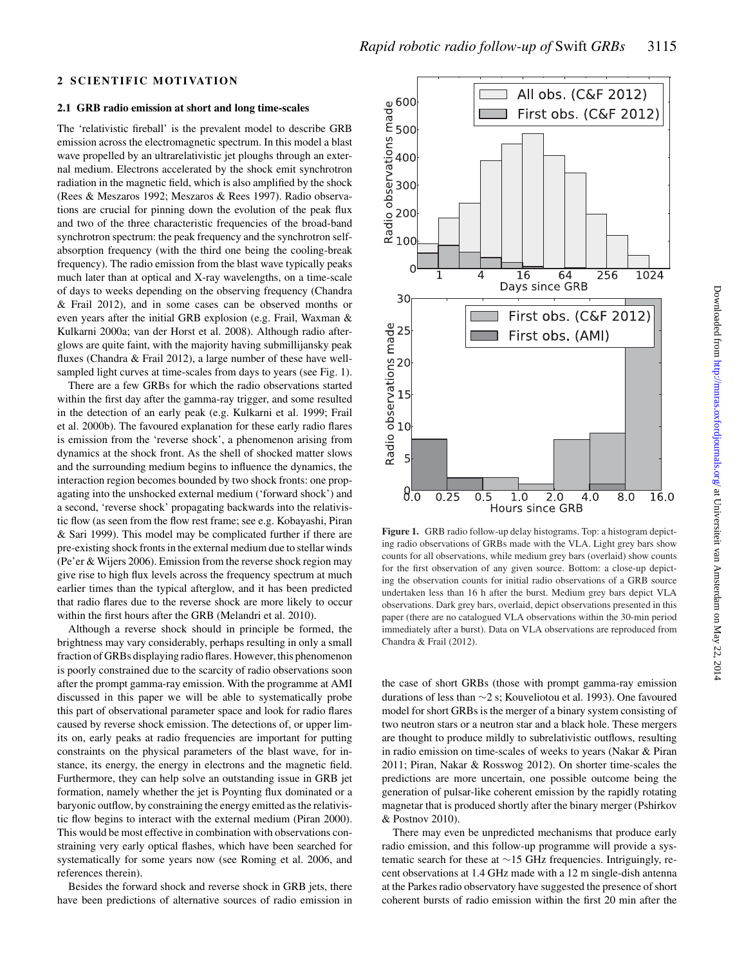### **2 SCIENTIFIC MOTIVATION**

#### **2.1 GRB radio emission at short and long time-scales**

The 'relativistic fireball' is the prevalent model to describe GRB emission across the electromagnetic spectrum. In this model a blast wave propelled by an ultrarelativistic jet ploughs through an external medium. Electrons accelerated by the shock emit synchrotron radiation in the magnetic field, which is also amplified by the shock (Rees & Meszaros 1992; Meszaros & Rees 1997). Radio observations are crucial for pinning down the evolution of the peak flux and two of the three characteristic frequencies of the broad-band synchrotron spectrum: the peak frequency and the synchrotron selfabsorption frequency (with the third one being the cooling-break frequency). The radio emission from the blast wave typically peaks much later than at optical and X-ray wavelengths, on a time-scale of days to weeks depending on the observing frequency (Chandra & Frail 2012), and in some cases can be observed months or even years after the initial GRB explosion (e.g. Frail, Waxman & Kulkarni 2000a; van der Horst et al. 2008). Although radio afterglows are quite faint, with the majority having submillijansky peak fluxes (Chandra & Frail 2012), a large number of these have wellsampled light curves at time-scales from days to years (see Fig. 1).

There are a few GRBs for which the radio observations started within the first day after the gamma-ray trigger, and some resulted in the detection of an early peak (e.g. Kulkarni et al. 1999; Frail et al. 2000b). The favoured explanation for these early radio flares is emission from the 'reverse shock', a phenomenon arising from dynamics at the shock front. As the shell of shocked matter slows and the surrounding medium begins to influence the dynamics, the interaction region becomes bounded by two shock fronts: one propagating into the unshocked external medium ('forward shock') and a second, 'reverse shock' propagating backwards into the relativistic flow (as seen from the flow rest frame; see e.g. Kobayashi, Piran & Sari 1999). This model may be complicated further if there are pre-existing shock fronts in the external medium due to stellar winds (Pe'er & Wijers 2006). Emission from the reverse shock region may give rise to high flux levels across the frequency spectrum at much earlier times than the typical afterglow, and it has been predicted that radio flares due to the reverse shock are more likely to occur within the first hours after the GRB (Melandri et al. 2010).

Although a reverse shock should in principle be formed, the brightness may vary considerably, perhaps resulting in only a small fraction of GRBs displaying radio flares. However, this phenomenon is poorly constrained due to the scarcity of radio observations soon after the prompt gamma-ray emission. With the programme at AMI discussed in this paper we will be able to systematically probe this part of observational parameter space and look for radio flares caused by reverse shock emission. The detections of, or upper limits on, early peaks at radio frequencies are important for putting constraints on the physical parameters of the blast wave, for instance, its energy, the energy in electrons and the magnetic field. Furthermore, they can help solve an outstanding issue in GRB jet formation, namely whether the jet is Poynting flux dominated or a baryonic outflow, by constraining the energy emitted as the relativistic flow begins to interact with the external medium (Piran 2000). This would be most effective in combination with observations constraining very early optical flashes, which have been searched for systematically for some years now (see Roming et al. 2006, and references therein).

Besides the forward shock and reverse shock in GRB jets, there have been predictions of alternative sources of radio emission in



**Figure 1.** GRB radio follow-up delay histograms. Top: a histogram depicting radio observations of GRBs made with the VLA. Light grey bars show counts for all observations, while medium grey bars (overlaid) show counts for the first observation of any given source. Bottom: a close-up depicting the observation counts for initial radio observations of a GRB source undertaken less than 16 h after the burst. Medium grey bars depict VLA observations. Dark grey bars, overlaid, depict observations presented in this paper (there are no catalogued VLA observations within the 30-min period immediately after a burst). Data on VLA observations are reproduced from Chandra & Frail (2012).

the case of short GRBs (those with prompt gamma-ray emission durations of less than ∼2 s; Kouveliotou et al. 1993). One favoured model for short GRBs is the merger of a binary system consisting of two neutron stars or a neutron star and a black hole. These mergers are thought to produce mildly to subrelativistic outflows, resulting in radio emission on time-scales of weeks to years (Nakar & Piran 2011; Piran, Nakar & Rosswog 2012). On shorter time-scales the predictions are more uncertain, one possible outcome being the generation of pulsar-like coherent emission by the rapidly rotating magnetar that is produced shortly after the binary merger (Pshirkov & Postnov 2010).

There may even be unpredicted mechanisms that produce early radio emission, and this follow-up programme will provide a systematic search for these at ∼15 GHz frequencies. Intriguingly, recent observations at 1.4 GHz made with a 12 m single-dish antenna at the Parkes radio observatory have suggested the presence of short coherent bursts of radio emission within the first 20 min after the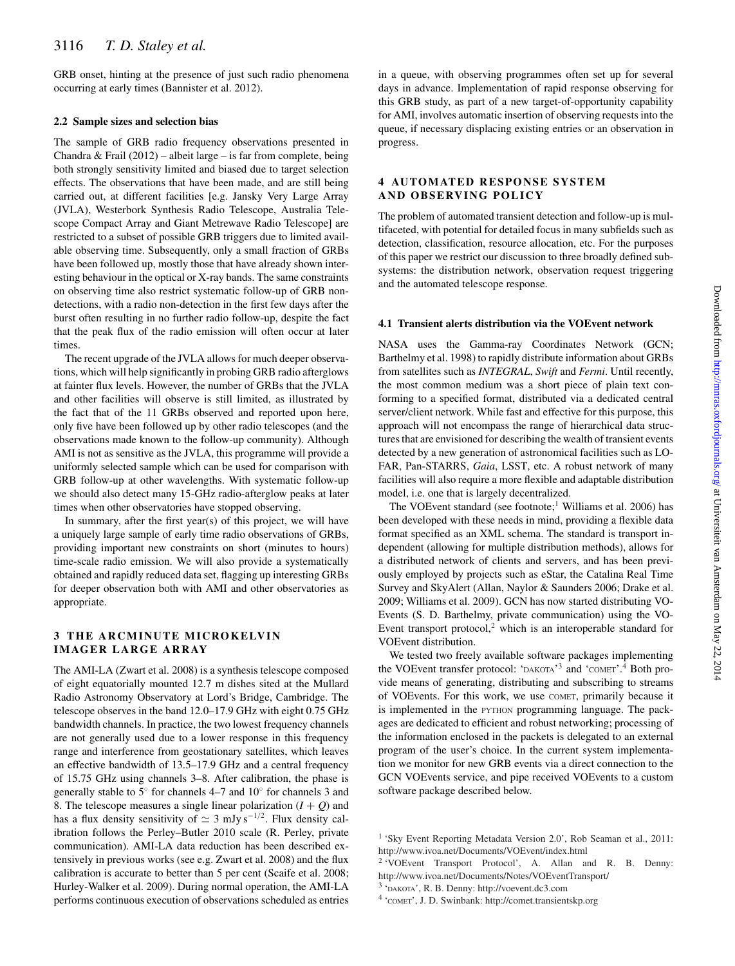GRB onset, hinting at the presence of just such radio phenomena occurring at early times (Bannister et al. 2012).

#### **2.2 Sample sizes and selection bias**

The sample of GRB radio frequency observations presented in Chandra & Frail (2012) – albeit large – is far from complete, being both strongly sensitivity limited and biased due to target selection effects. The observations that have been made, and are still being carried out, at different facilities [e.g. Jansky Very Large Array (JVLA), Westerbork Synthesis Radio Telescope, Australia Telescope Compact Array and Giant Metrewave Radio Telescope] are restricted to a subset of possible GRB triggers due to limited available observing time. Subsequently, only a small fraction of GRBs have been followed up, mostly those that have already shown interesting behaviour in the optical or X-ray bands. The same constraints on observing time also restrict systematic follow-up of GRB nondetections, with a radio non-detection in the first few days after the burst often resulting in no further radio follow-up, despite the fact that the peak flux of the radio emission will often occur at later times.

The recent upgrade of the JVLA allows for much deeper observations, which will help significantly in probing GRB radio afterglows at fainter flux levels. However, the number of GRBs that the JVLA and other facilities will observe is still limited, as illustrated by the fact that of the 11 GRBs observed and reported upon here, only five have been followed up by other radio telescopes (and the observations made known to the follow-up community). Although AMI is not as sensitive as the JVLA, this programme will provide a uniformly selected sample which can be used for comparison with GRB follow-up at other wavelengths. With systematic follow-up we should also detect many 15-GHz radio-afterglow peaks at later times when other observatories have stopped observing.

In summary, after the first year(s) of this project, we will have a uniquely large sample of early time radio observations of GRBs, providing important new constraints on short (minutes to hours) time-scale radio emission. We will also provide a systematically obtained and rapidly reduced data set, flagging up interesting GRBs for deeper observation both with AMI and other observatories as appropriate.

# **3 THE ARCMINUTE MICROKELVIN IMAGER LARGE ARRAY**

The AMI-LA (Zwart et al. 2008) is a synthesis telescope composed of eight equatorially mounted 12.7 m dishes sited at the Mullard Radio Astronomy Observatory at Lord's Bridge, Cambridge. The telescope observes in the band 12.0–17.9 GHz with eight 0.75 GHz bandwidth channels. In practice, the two lowest frequency channels are not generally used due to a lower response in this frequency range and interference from geostationary satellites, which leaves an effective bandwidth of 13.5–17.9 GHz and a central frequency of 15.75 GHz using channels 3–8. After calibration, the phase is generally stable to 5◦ for channels 4–7 and 10◦ for channels 3 and 8. The telescope measures a single linear polarization  $(I + Q)$  and has a flux density sensitivity of  $\simeq 3$  mJy s<sup>-1/2</sup>. Flux density calibration follows the Perley–Butler 2010 scale (R. Perley, private communication). AMI-LA data reduction has been described extensively in previous works (see e.g. Zwart et al. 2008) and the flux calibration is accurate to better than 5 per cent (Scaife et al. 2008; Hurley-Walker et al. 2009). During normal operation, the AMI-LA performs continuous execution of observations scheduled as entries

in a queue, with observing programmes often set up for several days in advance. Implementation of rapid response observing for this GRB study, as part of a new target-of-opportunity capability for AMI, involves automatic insertion of observing requests into the queue, if necessary displacing existing entries or an observation in progress.

## **4 AUTOMATED RESPONSE SYSTEM AND OBSERVING POLICY**

The problem of automated transient detection and follow-up is multifaceted, with potential for detailed focus in many subfields such as detection, classification, resource allocation, etc. For the purposes of this paper we restrict our discussion to three broadly defined subsystems: the distribution network, observation request triggering and the automated telescope response.

#### **4.1 Transient alerts distribution via the VOEvent network**

NASA uses the Gamma-ray Coordinates Network (GCN; Barthelmy et al. 1998) to rapidly distribute information about GRBs from satellites such as *INTEGRAL*, *Swift* and *Fermi*. Until recently, the most common medium was a short piece of plain text conforming to a specified format, distributed via a dedicated central server/client network. While fast and effective for this purpose, this approach will not encompass the range of hierarchical data structures that are envisioned for describing the wealth of transient events detected by a new generation of astronomical facilities such as LO-FAR, Pan-STARRS, *Gaia*, LSST, etc. A robust network of many facilities will also require a more flexible and adaptable distribution model, i.e. one that is largely decentralized.

The VOEvent standard (see footnote;<sup>1</sup> Williams et al. 2006) has been developed with these needs in mind, providing a flexible data format specified as an XML schema. The standard is transport independent (allowing for multiple distribution methods), allows for a distributed network of clients and servers, and has been previously employed by projects such as eStar, the Catalina Real Time Survey and SkyAlert (Allan, Naylor & Saunders 2006; Drake et al. 2009; Williams et al. 2009). GCN has now started distributing VO-Events (S. D. Barthelmy, private communication) using the VO-Event transport protocol,<sup>2</sup> which is an interoperable standard for VOEvent distribution.

We tested two freely available software packages implementing the VOEvent transfer protocol: 'DAKOTA' <sup>3</sup> and 'COMET'.4 Both provide means of generating, distributing and subscribing to streams of VOEvents. For this work, we use COMET, primarily because it is implemented in the PYTHON programming language. The packages are dedicated to efficient and robust networking; processing of the information enclosed in the packets is delegated to an external program of the user's choice. In the current system implementation we monitor for new GRB events via a direct connection to the GCN VOEvents service, and pipe received VOEvents to a custom software package described below.

<sup>1</sup> 'Sky Event Reporting Metadata Version 2.0', Rob Seaman et al., 2011: <http://www.ivoa.net/Documents/VOEvent/index.html>

<sup>2</sup> 'VOEvent Transport Protocol', A. Allan and R. B. Denny: <http://www.ivoa.net/Documents/Notes/VOEventTransport/>

<sup>3</sup> 'DAKOTA', R. B. Denny:<http://voevent.dc3.com>

<sup>4</sup> 'COMET', J. D. Swinbank:<http://comet.transientskp.org>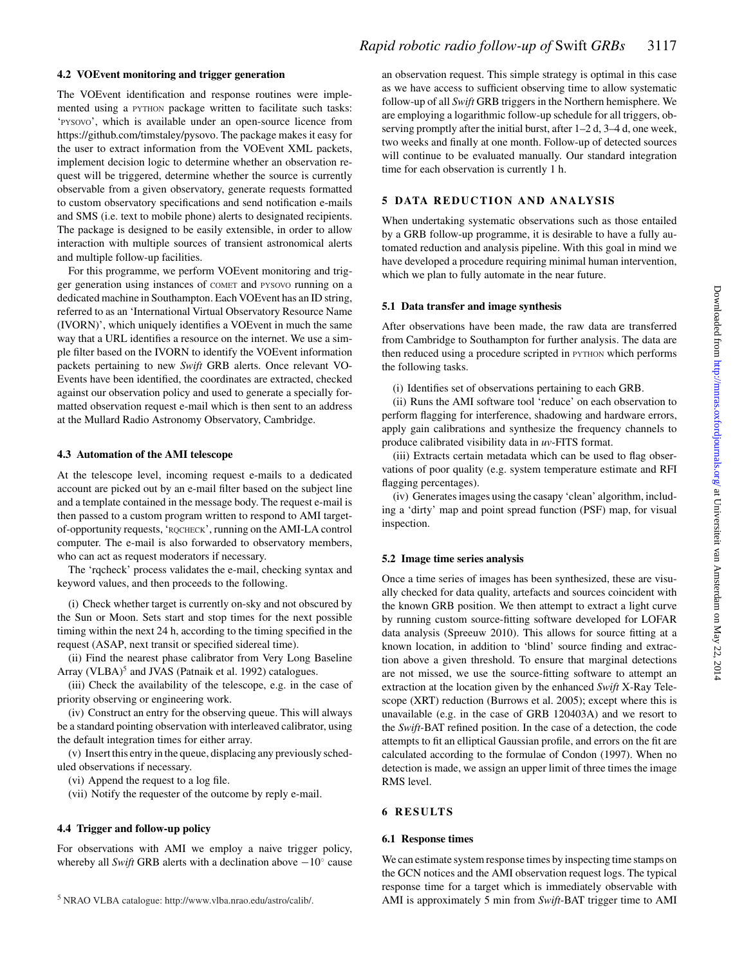#### **4.2 VOEvent monitoring and trigger generation**

The VOEvent identification and response routines were implemented using a PYTHON package written to facilitate such tasks: 'PYSOVO', which is available under an open-source licence from https://github.com/timstaley/pysovo. The package makes it easy for the user to extract information from the VOEvent XML packets, implement decision logic to determine whether an observation request will be triggered, determine whether the source is currently observable from a given observatory, generate requests formatted to custom observatory specifications and send notification e-mails and SMS (i.e. text to mobile phone) alerts to designated recipients. The package is designed to be easily extensible, in order to allow interaction with multiple sources of transient astronomical alerts and multiple follow-up facilities.

For this programme, we perform VOEvent monitoring and trigger generation using instances of COMET and PYSOVO running on a dedicated machine in Southampton. Each VOEvent has an ID string, referred to as an 'International Virtual Observatory Resource Name (IVORN)', which uniquely identifies a VOEvent in much the same way that a URL identifies a resource on the internet. We use a simple filter based on the IVORN to identify the VOEvent information packets pertaining to new *Swift* GRB alerts. Once relevant VO-Events have been identified, the coordinates are extracted, checked against our observation policy and used to generate a specially formatted observation request e-mail which is then sent to an address at the Mullard Radio Astronomy Observatory, Cambridge.

#### **4.3 Automation of the AMI telescope**

At the telescope level, incoming request e-mails to a dedicated account are picked out by an e-mail filter based on the subject line and a template contained in the message body. The request e-mail is then passed to a custom program written to respond to AMI targetof-opportunity requests, 'RQCHECK', running on the AMI-LA control computer. The e-mail is also forwarded to observatory members, who can act as request moderators if necessary.

The 'rqcheck' process validates the e-mail, checking syntax and keyword values, and then proceeds to the following.

(i) Check whether target is currently on-sky and not obscured by the Sun or Moon. Sets start and stop times for the next possible timing within the next 24 h, according to the timing specified in the request (ASAP, next transit or specified sidereal time).

(ii) Find the nearest phase calibrator from Very Long Baseline Array (VLBA)<sup>5</sup> and JVAS (Patnaik et al. 1992) catalogues.

(iii) Check the availability of the telescope, e.g. in the case of priority observing or engineering work.

(iv) Construct an entry for the observing queue. This will always be a standard pointing observation with interleaved calibrator, using the default integration times for either array.

(v) Insert this entry in the queue, displacing any previously scheduled observations if necessary.

(vi) Append the request to a log file.

(vii) Notify the requester of the outcome by reply e-mail.

#### **4.4 Trigger and follow-up policy**

For observations with AMI we employ a naive trigger policy, whereby all *Swift* GRB alerts with a declination above −10° cause an observation request. This simple strategy is optimal in this case as we have access to sufficient observing time to allow systematic follow-up of all *Swift* GRB triggers in the Northern hemisphere. We are employing a logarithmic follow-up schedule for all triggers, observing promptly after the initial burst, after 1–2 d, 3–4 d, one week, two weeks and finally at one month. Follow-up of detected sources will continue to be evaluated manually. Our standard integration time for each observation is currently 1 h.

## **5 DATA REDUCTION AND ANALYSIS**

When undertaking systematic observations such as those entailed by a GRB follow-up programme, it is desirable to have a fully automated reduction and analysis pipeline. With this goal in mind we have developed a procedure requiring minimal human intervention, which we plan to fully automate in the near future.

#### **5.1 Data transfer and image synthesis**

After observations have been made, the raw data are transferred from Cambridge to Southampton for further analysis. The data are then reduced using a procedure scripted in PYTHON which performs the following tasks.

(i) Identifies set of observations pertaining to each GRB.

(ii) Runs the AMI software tool 'reduce' on each observation to perform flagging for interference, shadowing and hardware errors, apply gain calibrations and synthesize the frequency channels to produce calibrated visibility data in *uv*-FITS format.

(iii) Extracts certain metadata which can be used to flag observations of poor quality (e.g. system temperature estimate and RFI flagging percentages).

(iv) Generates images using the casapy 'clean' algorithm, including a 'dirty' map and point spread function (PSF) map, for visual inspection.

#### **5.2 Image time series analysis**

Once a time series of images has been synthesized, these are visually checked for data quality, artefacts and sources coincident with the known GRB position. We then attempt to extract a light curve by running custom source-fitting software developed for LOFAR data analysis (Spreeuw 2010). This allows for source fitting at a known location, in addition to 'blind' source finding and extraction above a given threshold. To ensure that marginal detections are not missed, we use the source-fitting software to attempt an extraction at the location given by the enhanced *Swift* X-Ray Telescope (XRT) reduction (Burrows et al. 2005); except where this is unavailable (e.g. in the case of GRB 120403A) and we resort to the *Swift*-BAT refined position. In the case of a detection, the code attempts to fit an elliptical Gaussian profile, and errors on the fit are calculated according to the formulae of Condon (1997). When no detection is made, we assign an upper limit of three times the image RMS level.

#### **6 RESULTS**

#### **6.1 Response times**

We can estimate system response times by inspecting time stamps on the GCN notices and the AMI observation request logs. The typical response time for a target which is immediately observable with AMI is approximately 5 min from *Swift*-BAT trigger time to AMI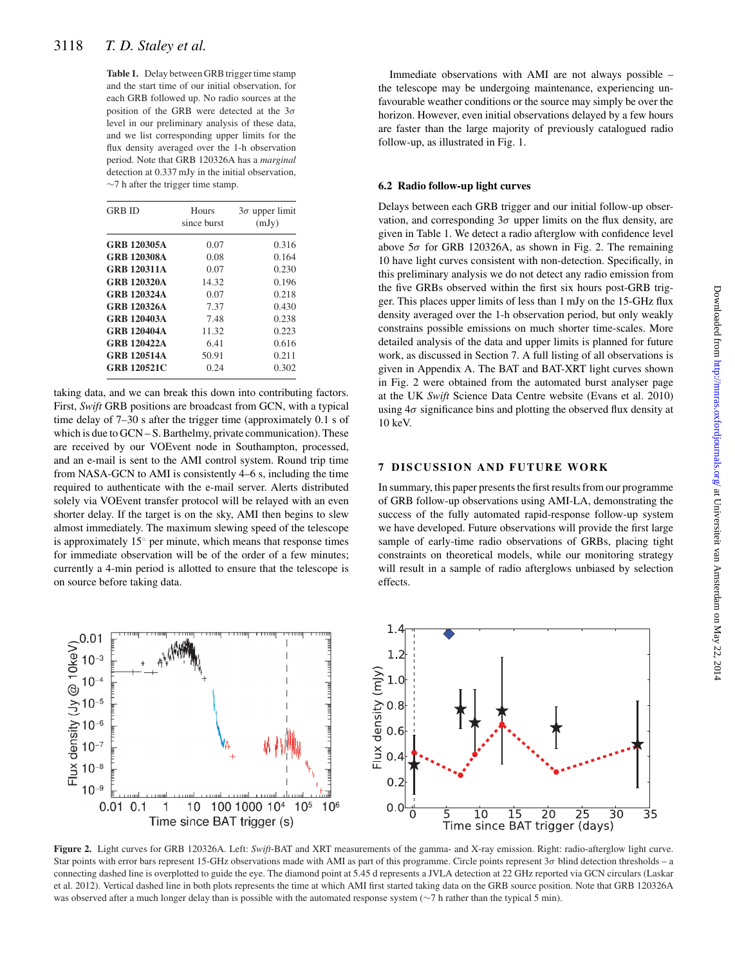**Table 1.** Delay between GRB trigger time stamp and the start time of our initial observation, for each GRB followed up. No radio sources at the position of the GRB were detected at the 3σ level in our preliminary analysis of these data, and we list corresponding upper limits for the flux density averaged over the 1-h observation period. Note that GRB 120326A has a *marginal* detection at 0.337 mJy in the initial observation, ∼7 h after the trigger time stamp.

| <b>GRB ID</b>      | Hours<br>since burst | $3\sigma$ upper limit<br>(mJy) |
|--------------------|----------------------|--------------------------------|
| <b>GRB 120305A</b> | 0.07                 | 0.316                          |
| <b>GRB 120308A</b> | 0.08                 | 0.164                          |
| <b>GRB 120311A</b> | 0.07                 | 0.230                          |
| <b>GRB 120320A</b> | 14.32                | 0.196                          |
| <b>GRB 120324A</b> | 0.07                 | 0.218                          |
| <b>GRB 120326A</b> | 7.37                 | 0.430                          |
| <b>GRB 120403A</b> | 7.48                 | 0.238                          |
| <b>GRB 120404A</b> | 11.32                | 0.223                          |
| <b>GRB 120422A</b> | 6.41                 | 0.616                          |
| <b>GRB 120514A</b> | 50.91                | 0.211                          |
| <b>GRB 120521C</b> | 0.24                 | 0.302                          |

taking data, and we can break this down into contributing factors. First, *Swift* GRB positions are broadcast from GCN, with a typical time delay of 7–30 s after the trigger time (approximately 0.1 s of which is due to GCN – S. Barthelmy, private communication). These are received by our VOEvent node in Southampton, processed, and an e-mail is sent to the AMI control system. Round trip time from NASA-GCN to AMI is consistently 4–6 s, including the time required to authenticate with the e-mail server. Alerts distributed solely via VOEvent transfer protocol will be relayed with an even shorter delay. If the target is on the sky, AMI then begins to slew almost immediately. The maximum slewing speed of the telescope is approximately 15◦ per minute, which means that response times for immediate observation will be of the order of a few minutes; currently a 4-min period is allotted to ensure that the telescope is on source before taking data.



Immediate observations with AMI are not always possible – the telescope may be undergoing maintenance, experiencing unfavourable weather conditions or the source may simply be over the horizon. However, even initial observations delayed by a few hours are faster than the large majority of previously catalogued radio follow-up, as illustrated in Fig. 1.

## **6.2 Radio follow-up light curves**

Delays between each GRB trigger and our initial follow-up observation, and corresponding  $3\sigma$  upper limits on the flux density, are given in Table 1. We detect a radio afterglow with confidence level above  $5\sigma$  for GRB 120326A, as shown in Fig. 2. The remaining 10 have light curves consistent with non-detection. Specifically, in this preliminary analysis we do not detect any radio emission from the five GRBs observed within the first six hours post-GRB trigger. This places upper limits of less than 1 mJy on the 15-GHz flux density averaged over the 1-h observation period, but only weakly constrains possible emissions on much shorter time-scales. More detailed analysis of the data and upper limits is planned for future work, as discussed in Section 7. A full listing of all observations is given in Appendix A. The BAT and BAT-XRT light curves shown in Fig. 2 were obtained from the automated burst analyser page at the UK *Swift* Science Data Centre website (Evans et al. 2010) using  $4\sigma$  significance bins and plotting the observed flux density at 10 keV.

# **7 DISCUSSION AND FUTURE WORK**

In summary, this paper presents the first results from our programme of GRB follow-up observations using AMI-LA, demonstrating the success of the fully automated rapid-response follow-up system we have developed. Future observations will provide the first large sample of early-time radio observations of GRBs, placing tight constraints on theoretical models, while our monitoring strategy will result in a sample of radio afterglows unbiased by selection effects.

**Figure 2.** Light curves for GRB 120326A. Left: *Swift*-BAT and XRT measurements of the gamma- and X-ray emission. Right: radio-afterglow light curve. Star points with error bars represent 15-GHz observations made with AMI as part of this programme. Circle points represent  $3\sigma$  blind detection thresholds – a connecting dashed line is overplotted to guide the eye. The diamond point at 5.45 d represents a JVLA detection at 22 GHz reported via GCN circulars (Laskar et al. 2012). Vertical dashed line in both plots represents the time at which AMI first started taking data on the GRB source position. Note that GRB 120326A was observed after a much longer delay than is possible with the automated response system (∼7 h rather than the typical 5 min).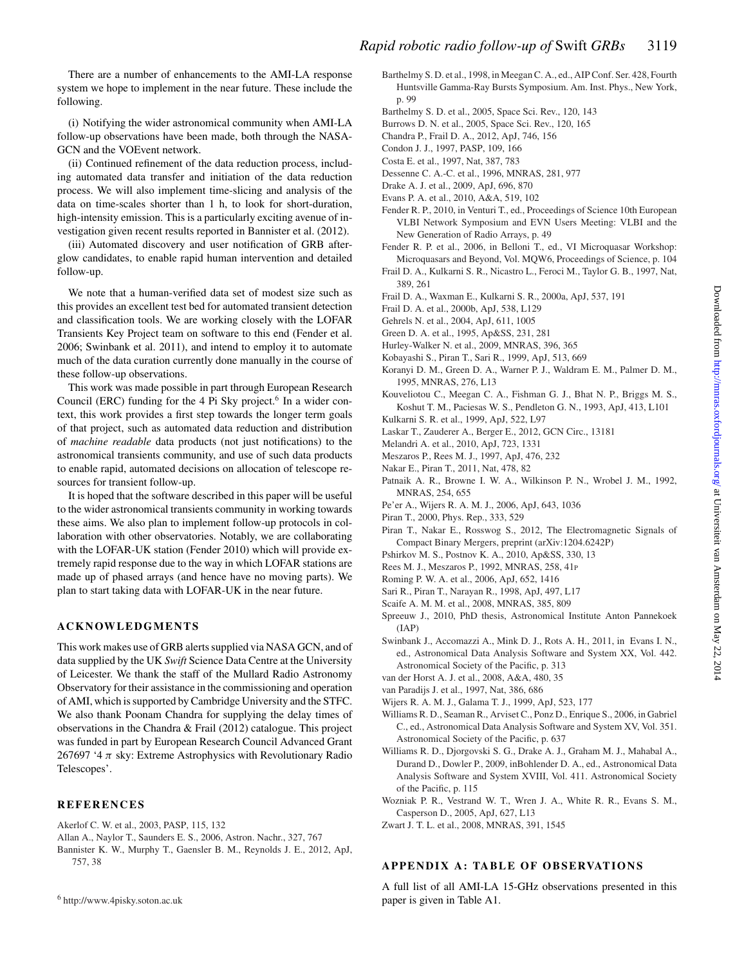There are a number of enhancements to the AMI-LA response system we hope to implement in the near future. These include the following.

(i) Notifying the wider astronomical community when AMI-LA follow-up observations have been made, both through the NASA-GCN and the VOEvent network.

(ii) Continued refinement of the data reduction process, including automated data transfer and initiation of the data reduction process. We will also implement time-slicing and analysis of the data on time-scales shorter than 1 h, to look for short-duration, high-intensity emission. This is a particularly exciting avenue of investigation given recent results reported in Bannister et al. (2012).

(iii) Automated discovery and user notification of GRB afterglow candidates, to enable rapid human intervention and detailed follow-up.

We note that a human-verified data set of modest size such as this provides an excellent test bed for automated transient detection and classification tools. We are working closely with the LOFAR Transients Key Project team on software to this end (Fender et al. 2006; Swinbank et al. 2011), and intend to employ it to automate much of the data curation currently done manually in the course of these follow-up observations.

This work was made possible in part through European Research Council (ERC) funding for the 4 Pi Sky project. $6$  In a wider context, this work provides a first step towards the longer term goals of that project, such as automated data reduction and distribution of *machine readable* data products (not just notifications) to the astronomical transients community, and use of such data products to enable rapid, automated decisions on allocation of telescope resources for transient follow-up.

It is hoped that the software described in this paper will be useful to the wider astronomical transients community in working towards these aims. We also plan to implement follow-up protocols in collaboration with other observatories. Notably, we are collaborating with the LOFAR-UK station (Fender 2010) which will provide extremely rapid response due to the way in which LOFAR stations are made up of phased arrays (and hence have no moving parts). We plan to start taking data with LOFAR-UK in the near future.

#### **ACKNOWLEDGMENTS**

This work makes use of GRB alerts supplied via NASA GCN, and of data supplied by the UK *Swift* Science Data Centre at the University of Leicester. We thank the staff of the Mullard Radio Astronomy Observatory for their assistance in the commissioning and operation of AMI, which is supported by Cambridge University and the STFC. We also thank Poonam Chandra for supplying the delay times of observations in the Chandra & Frail (2012) catalogue. This project was funded in part by European Research Council Advanced Grant 267697 '4  $\pi$  sky: Extreme Astrophysics with Revolutionary Radio Telescopes'.

## **REFERENCES**

- Akerlof C. W. et al., 2003, PASP, 115, 132
- Allan A., Naylor T., Saunders E. S., 2006, Astron. Nachr., 327, 767
- Bannister K. W., Murphy T., Gaensler B. M., Reynolds J. E., 2012, ApJ, 757, 38
- <sup>6</sup> <http://www.4pisky.soton.ac.uk>
- Barthelmy S. D. et al., 1998, in Meegan C. A., ed., AIP Conf. Ser. 428, Fourth Huntsville Gamma-Ray Bursts Symposium. Am. Inst. Phys., New York, p. 99
- Barthelmy S. D. et al., 2005, Space Sci. Rev., 120, 143
- Burrows D. N. et al., 2005, Space Sci. Rev., 120, 165
- Chandra P., Frail D. A., 2012, ApJ, 746, 156
- Condon J. J., 1997, PASP, 109, 166
- Costa E. et al., 1997, Nat, 387, 783
- Dessenne C. A.-C. et al., 1996, MNRAS, 281, 977
- Drake A. J. et al., 2009, ApJ, 696, 870
- Evans P. A. et al., 2010, A&A, 519, 102
- Fender R. P., 2010, in Venturi T., ed., Proceedings of Science 10th European VLBI Network Symposium and EVN Users Meeting: VLBI and the New Generation of Radio Arrays, p. 49
- Fender R. P. et al., 2006, in Belloni T., ed., VI Microquasar Workshop: Microquasars and Beyond, Vol. MQW6, Proceedings of Science, p. 104
- Frail D. A., Kulkarni S. R., Nicastro L., Feroci M., Taylor G. B., 1997, Nat, 389, 261
- Frail D. A., Waxman E., Kulkarni S. R., 2000a, ApJ, 537, 191
- Frail D. A. et al., 2000b, ApJ, 538, L129
- Gehrels N. et al., 2004, ApJ, 611, 1005
- Green D. A. et al., 1995, Ap&SS, 231, 281
- Hurley-Walker N. et al., 2009, MNRAS, 396, 365
- Kobayashi S., Piran T., Sari R., 1999, ApJ, 513, 669
- Koranyi D. M., Green D. A., Warner P. J., Waldram E. M., Palmer D. M., 1995, MNRAS, 276, L13
- Kouveliotou C., Meegan C. A., Fishman G. J., Bhat N. P., Briggs M. S., Koshut T. M., Paciesas W. S., Pendleton G. N., 1993, ApJ, 413, L101
- Kulkarni S. R. et al., 1999, ApJ, 522, L97
- Laskar T., Zauderer A., Berger E., 2012, GCN Circ., 13181
- Melandri A. et al., 2010, ApJ, 723, 1331
- Meszaros P., Rees M. J., 1997, ApJ, 476, 232
- Nakar E., Piran T., 2011, Nat, 478, 82
- Patnaik A. R., Browne I. W. A., Wilkinson P. N., Wrobel J. M., 1992, MNRAS, 254, 655
- Pe'er A., Wijers R. A. M. J., 2006, ApJ, 643, 1036
- Piran T., 2000, Phys. Rep., 333, 529
- Piran T., Nakar E., Rosswog S., 2012, The Electromagnetic Signals of Compact Binary Mergers, preprint (arXiv:1204.6242P)
- Pshirkov M. S., Postnov K. A., 2010, Ap&SS, 330, 13
- Rees M. J., Meszaros P., 1992, MNRAS, 258, 41P
- Roming P. W. A. et al., 2006, ApJ, 652, 1416
- Sari R., Piran T., Narayan R., 1998, ApJ, 497, L17
- Scaife A. M. M. et al., 2008, MNRAS, 385, 809
- Spreeuw J., 2010, PhD thesis, Astronomical Institute Anton Pannekoek  $(IAP)$
- Swinbank J., Accomazzi A., Mink D. J., Rots A. H., 2011, in Evans I. N., ed., Astronomical Data Analysis Software and System XX, Vol. 442. Astronomical Society of the Pacific, p. 313
- van der Horst A. J. et al., 2008, A&A, 480, 35
- van Paradijs J. et al., 1997, Nat, 386, 686
- Wijers R. A. M. J., Galama T. J., 1999, ApJ, 523, 177
- Williams R. D., Seaman R., Arviset C., Ponz D., Enrique S., 2006, in Gabriel C., ed., Astronomical Data Analysis Software and System XV, Vol. 351. Astronomical Society of the Pacific, p. 637
- Williams R. D., Djorgovski S. G., Drake A. J., Graham M. J., Mahabal A., Durand D., Dowler P., 2009, inBohlender D. A., ed., Astronomical Data Analysis Software and System XVIII, Vol. 411. Astronomical Society of the Pacific, p. 115
- Wozniak P. R., Vestrand W. T., Wren J. A., White R. R., Evans S. M., Casperson D., 2005, ApJ, 627, L13
- Zwart J. T. L. et al., 2008, MNRAS, 391, 1545

#### **APPENDIX A: TABLE OF OBSERVATIONS**

A full list of all AMI-LA 15-GHz observations presented in this paper is given in Table A1.